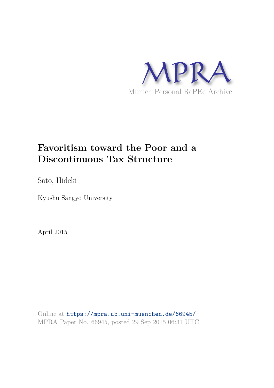

# **Favoritism toward the Poor and a Discontinuous Tax Structure**

Sato, Hideki

Kyushu Sangyo University

April 2015

Online at https://mpra.ub.uni-muenchen.de/66945/ MPRA Paper No. 66945, posted 29 Sep 2015 06:31 UTC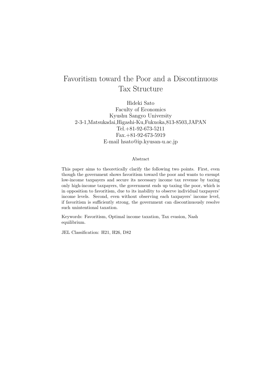# Favoritism toward the Poor and a Discontinuous Tax Structure

Hideki Sato Faculty of Economics Kyushu Sangyo University 2-3-1,Matsukadai,Higashi-Ku,Fukuoka,813-8503,JAPAN Tel.+81-92-673-5211 Fax.+81-92-673-5919 E-mail hsato@ip.kyusan-u.ac.jp

#### Abstract

This paper aims to theoretically clarify the following two points. First, even though the government shows favoritism toward the poor and wants to exempt low-income taxpayers and secure its necessary income tax revenue by taxing only high-income taxpayers, the government ends up taxing the poor, which is in opposition to favoritism, due to its inability to observe individual taxpayers' income levels. Second, even without observing each taxpayers' income level, if favoritism is sufficiently strong, the government can discontinuously resolve such unintentional taxation.

Keywords: Favoritism, Optimal income taxation, Tax evasion, Nash equilibrium.

JEL Classification: H21, H26, D82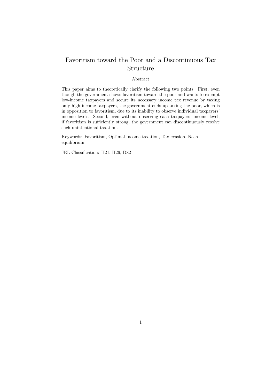# Favoritism toward the Poor and a Discontinuous Tax Structure

#### Abstract

This paper aims to theoretically clarify the following two points. First, even though the government shows favoritism toward the poor and wants to exempt low-income taxpayers and secure its necessary income tax revenue by taxing only high-income taxpayers, the government ends up taxing the poor, which is in opposition to favoritism, due to its inability to observe individual taxpayers' income levels. Second, even without observing each taxpayers' income level, if favoritism is sufficiently strong, the government can discontinuously resolve such unintentional taxation.

Keywords: Favoritism, Optimal income taxation, Tax evasion, Nash equilibrium.

JEL Classification: H21, H26, D82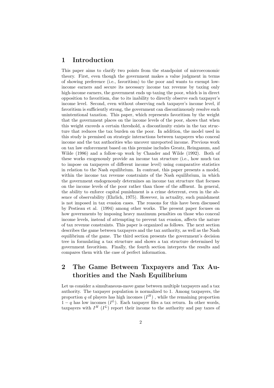### 1 Introduction

This paper aims to clarify two points from the standpoint of microeconomic theory. First, even though the government makes a value judgment in terms of showing preference (i.e., favoritism) to the poor and wants to exempt lowincome earners and secure its necessary income tax revenue by taxing only high-income earners, the government ends up taxing the poor, which is in direct opposition to favoritism, due to its inability to directly observe each taxpayer's income level. Second, even without observing each taxpayer's income level, if favoritism is sufficiently strong, the government can discontinuously resolve such unintentional taxation. This paper, which represents favoritism by the weight that the government places on the income levels of the poor, shows that when this weight exceeds a certain threshold, a discontinuity exists in the tax structure that reduces the tax burden on the poor. In addition, the model used in this study is premised on strategic interactions between taxpayers who conceal income and the tax authorities who uncover unreported income. Previous work on tax law enforcement based on this premise includes Greatz, Reinganum, and Wilde (1986) and a follow-up work by Chander and Wilde (1992). Both of these works exogenously provide an income tax structure (i.e., how much tax to impose on taxpayers of different income level) using comparative statistics in relation to the Nash equilibrium. In contrast, this paper presents a model, within the income tax revenue constraints of the Nash equilibrium, in which the government endogenously determines an income tax structure that focuses on the income levels of the poor rather than those of the affluent. In general, the ability to enforce capital punishment is a crime deterrent, even in the absence of observability (Ehrlich, 1975). However, in actuality, such punishment is not imposed in tax evasion cases. The reasons for this have been discussed by Pestieau et al. (1994) among other works. The present paper focuses on how governments by imposing heavy maximum penalties on those who conceal income levels, instead of attempting to prevent tax evasion, affects the nature of tax revenue constraints. This paper is organized as follows. The next section describes the game between taxpayers and the tax authority, as well as the Nash equilibrium of the game. The third section presents the government's decision tree in formulating a tax structure and shows a tax structure determined by government favoritism. Finally, the fourth section interprets the results and compares them with the case of perfect information.

# 2 The Game Between Taxpayers and Tax Authorities and the Nash Equilibrium

Let us consider a simultaneous-move game between multiple taxpayers and a tax authority. The taxpayer population is normalized to 1. Among taxpayers, the proportion q of players has high incomes  $(I^H)$ , while the remaining proportion  $1-q$  has low incomes  $(I^L)$ . Each taxpayer files a tax return. In other words, taxpayers with  $I^H(I^L)$  report their income to the authority and pay taxes of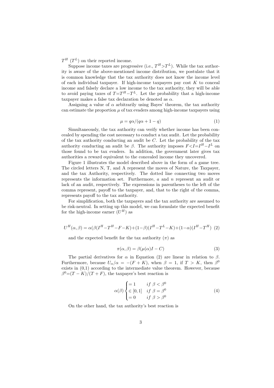$T^H$  ( $T^L$ ) on their reported income.

Suppose income taxes are progressive (i.e.,  $T^H > T^L$ ). While the tax authority is aware of the above-mentioned income distribution, we postulate that it is common knowledge that the tax authority does not know the income level of each individual taxpayer. If high-income taxpayers pay cost  $K$  to conceal income and falsely declare a low income to the tax authority, they will be able to avoid paying taxes of  $T=T^H-T^L$ . Let the probability that a high-income taxpayer makes a false tax declaration be denoted as  $\alpha$ .

Assigning a value of  $\alpha$  arbitrarily using Bayes' theorem, the tax authority can estimate the proportion  $\mu$  of tax evaders among high-income taxpayers using

$$
\mu = q\alpha/(q\alpha + 1 - q) \tag{1}
$$

Simultaneously, the tax authority can verify whether income has been concealed by spending the cost necessary to conduct a tax audit. Let the probability of the tax authority conducting an audit be  $C$ . Let the probability of the tax authority conducting an audit be  $\beta$ . The authority imposes  $F \leq I = I^H - I^L$  on those found to be tax evaders. In addition, the government later gives tax authorities a reward equivalent to the concealed income they uncovered.

Figure 1 illustrates the model described above in the form of a game tree. The circled letters N, T, and A represent the moves of Nature, the Taxpayer, and the tax Authority, respectively. The dotted line connecting two moves represents the information set. Furthermore, a and n represent an audit or lack of an audit, respectively. The expressions in parentheses to the left of the comma represent, payoff to the taxpayer, and, that to the right of the comma, represents payoff to the tax authority.

For simplification, both the taxpayers and the tax authority are assumed to be risk-neutral. In setting up this model, we can formulate the expected benefit for the high-income earner  $(U^H)$  as

$$
U^{H}(\alpha, \beta) = \alpha(\beta(I^{H} - T^{H} - F - K) + (1 - \beta)(I^{H} - T^{L} - K) + (1 - \alpha)(I^{H} - T^{H})
$$
 (2)

and the expected benefit for the tax authority  $(\pi)$  as

$$
\pi(\alpha, \beta) = \beta(\mu(\alpha)I - C)
$$
\n(3)

The partial derivatives for  $\alpha$  in Equation (2) are linear in relation to  $\beta$ . Furthermore, because  $U_{\alpha}/\alpha = -(F + K)$ , when  $\beta = 1$ , if  $T > K$ , then  $\beta^0$ exists in (0,1) according to the intermediate value theorem. However, because  $\beta^0 = (T - K)/(T + F)$ , the taxpayer's best reaction is

$$
\alpha(\beta) \begin{cases} = 1 & \text{if } \beta < \beta^0 \\ \in [0, 1] & \text{if } \beta = \beta^0 \\ = 0 & \text{if } \beta > \beta^0 \end{cases}
$$
 (4)

On the other hand, the tax authority's best reaction is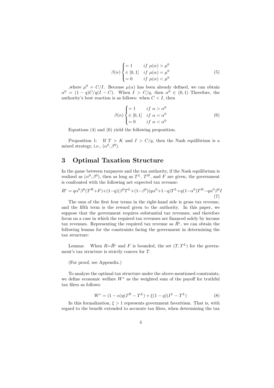$$
\beta(\alpha) \begin{cases}\n= 1 & \text{if } \mu(\alpha) > \mu^0 \\
\in [0, 1] & \text{if } \mu(\alpha) = \mu^0 \\
= 0 & \text{if } \mu(\alpha) < \mu^0\n\end{cases}
$$
\n(5)

where  $\mu^0 = C/I$ . Because  $\mu(\alpha)$  has been already defined, we can obtain  $\alpha^0 = (1-q)C/q(I-C)$ . When  $I > C/q$ , then  $\alpha^0 \in (0,1)$  Therefore, the authority's best reaction is as follows: when  $C < I$ , then

$$
\beta(\alpha) \begin{cases}\n= 1 & \text{if } \alpha > \alpha^0 \\
\in [0, 1] & \text{if } \alpha = \alpha^0 \\
= 0 & \text{if } \alpha < \alpha^0\n\end{cases}
$$
\n(6)

Equations (4) and (6) yield the following proposition.

Proposition 1: If  $T > K$  and  $I > C/q$ , then the Nash equilibrium is a mixed strategy, i.e.,  $(\alpha^0, \beta^0)$ .

# 3 Optimal Taxation Structure

In the game between taxpayers and the tax authority, if the Nash equilibrium is realized as  $(\alpha^0, \beta^0)$ , then as long as  $T^L$ ,  $T^H$ , and F are given, the government is confronted with the following net expected tax revenue:

$$
R^{e} = q\alpha^{0}\beta^{0}(T^{H}+F) + (1-q)(\beta^{0}T^{L} + (1-\beta^{0})(q\alpha^{0}+1-q)T^{L} + q(1-\alpha^{0})T^{H} - q\alpha^{0}\beta^{0}I)
$$
\n(7)

The sum of the first four terms in the right-hand side is gross tax revenue, and the fifth term is the reward given to the authority. In this paper, we suppose that the government requires substantial tax revenues, and therefore focus on a case in which the required tax revenues are financed solely by income tax revenues. Representing the required tax revenue as  $\bar{R}^e$ , we can obtain the following lemma for the constraints facing the government in determining the tax structure:

Lemma: When  $R=\bar{R}^e$  and F is bounded, the set  $(T, T^L)$  for the government's tax structure is strictly convex for T.

(For proof, see Appendix.)

To analyze the optimal tax structure under the above-mentioned constraints, we define economic welfare  $W^e$  as the weighted sum of the payoff for truthful tax filers as follows:

$$
W^{e} = (1 - \alpha)q(I^{H} - T^{L}) + \xi(1 - q)(I^{L} - T^{L})
$$
\n(8)

In this formalization,  $\xi > 1$  represents government favoritism. That is, with regard to the benefit extended to accurate tax filers, when determining the tax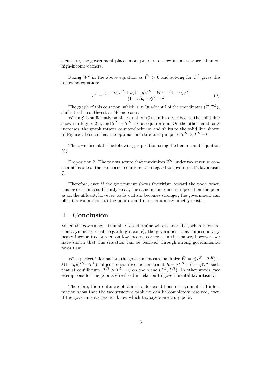structure, the government places more pressure on low-income earners than on high-income earners.

Fixing  $W^e$  in the above equation as  $\bar{W} > 0$  and solving for  $T^L$  gives the following equation:

$$
T^{L} = \frac{(1 - \alpha)I^{H} + s(1 - q)I^{L} - \bar{W}^{e} - (1 - \alpha)qT}{(1 - \alpha)q + \xi(1 - q)}
$$
(9)

The graph of this equation, which is in Quadrant I of the coordinates  $(T, T^L)$ , shifts to the southwest as  $\bar{W}$  increases.

When  $\xi$  is sufficiently small, Equation (9) can be described as the solid line shown in Figure 2-a, and  $T^H = T^L > 0$  at equilibrium. On the other hand, as  $\xi$ increases, the graph rotates counterclockwise and shifts to the solid line shown in Figure 2-b such that the optimal tax structure jumps to  $T^H > T^L = 0$ .

Thus, we formulate the following proposition using the Lemma and Equation (9).

Proposition 2: The tax structure that maximizes  $\bar{W}^e$  under tax revenue constraints is one of the two corner solutions with regard to government's favoritism ξ.

Therefore, even if the government shows favoritism toward the poor, when this favoritism is sufficiently weak, the same income tax is imposed on the poor as on the affluent; however, as favoritism becomes stronger, the government can offer tax exemptions to the poor even if information asymmetry exists.

#### 4 Conclusion

When the government is unable to determine who is poor (i.e., when information asymmetry exists regarding income), the government may impose a very heavy income tax burden on low-income earners. In this paper, however, we have shown that this situation can be resolved through strong governmental favoritism.

With perfect information, the government can maximize  $\bar{W} = q(I^H - T^H) +$  $\xi(1-q)(I^L - T^L)$  subject to tax revenue constraint  $\bar{R} = qT^H + (1-q)T^L$  such that at equilibrium,  $T^H > T^L = 0$  on the plane  $(T^L, T^H)$ . In other words, tax exemptions for the poor are realized in relation to governmental favoritism  $\xi$ .

Therefore, the results we obtained under conditions of asymmetrical information show that the tax structure problem can be completely resolved, even if the government does not know which taxpayers are truly poor.